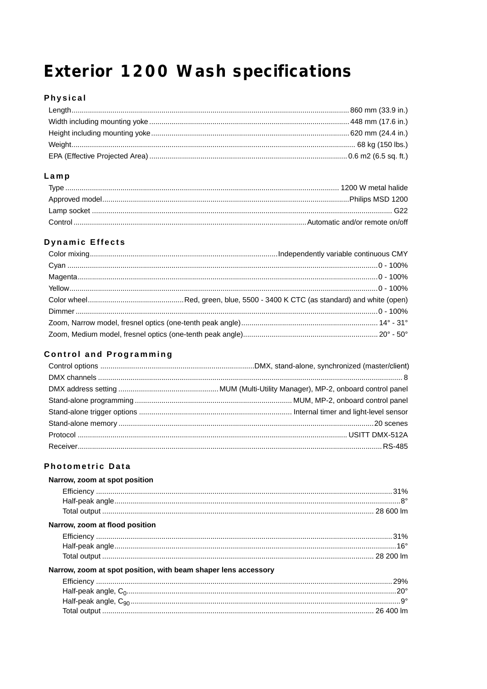# Exterior 1200 Wash specifications

# Physical

## $Lamp$

# **Dynamic Effects**

# **Control and Programming**

#### **Photometric Data**

| Narrow, zoom at spot position                                  |  |
|----------------------------------------------------------------|--|
|                                                                |  |
|                                                                |  |
|                                                                |  |
| Narrow, zoom at flood position                                 |  |
|                                                                |  |
|                                                                |  |
|                                                                |  |
| Narrow, zoom at spot position, with beam shaper lens accessory |  |
|                                                                |  |
|                                                                |  |
|                                                                |  |
|                                                                |  |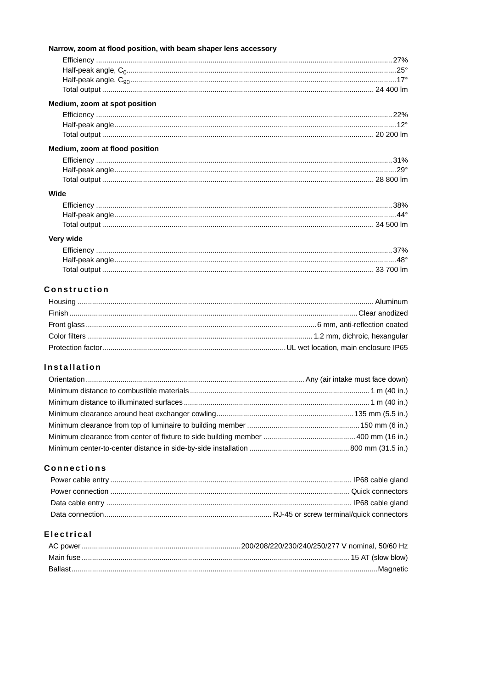| Narrow, zoom at flood position, with beam shaper lens accessory |  |
|-----------------------------------------------------------------|--|
|                                                                 |  |
|                                                                 |  |
|                                                                 |  |
|                                                                 |  |
| Medium, zoom at spot position                                   |  |
|                                                                 |  |
|                                                                 |  |
|                                                                 |  |
| Medium, zoom at flood position                                  |  |
|                                                                 |  |
|                                                                 |  |
|                                                                 |  |
| Wide                                                            |  |
|                                                                 |  |
|                                                                 |  |
|                                                                 |  |
| Very wide                                                       |  |
|                                                                 |  |
|                                                                 |  |
|                                                                 |  |

#### Construction

### Installation

# **Connections**

# **Electrical**